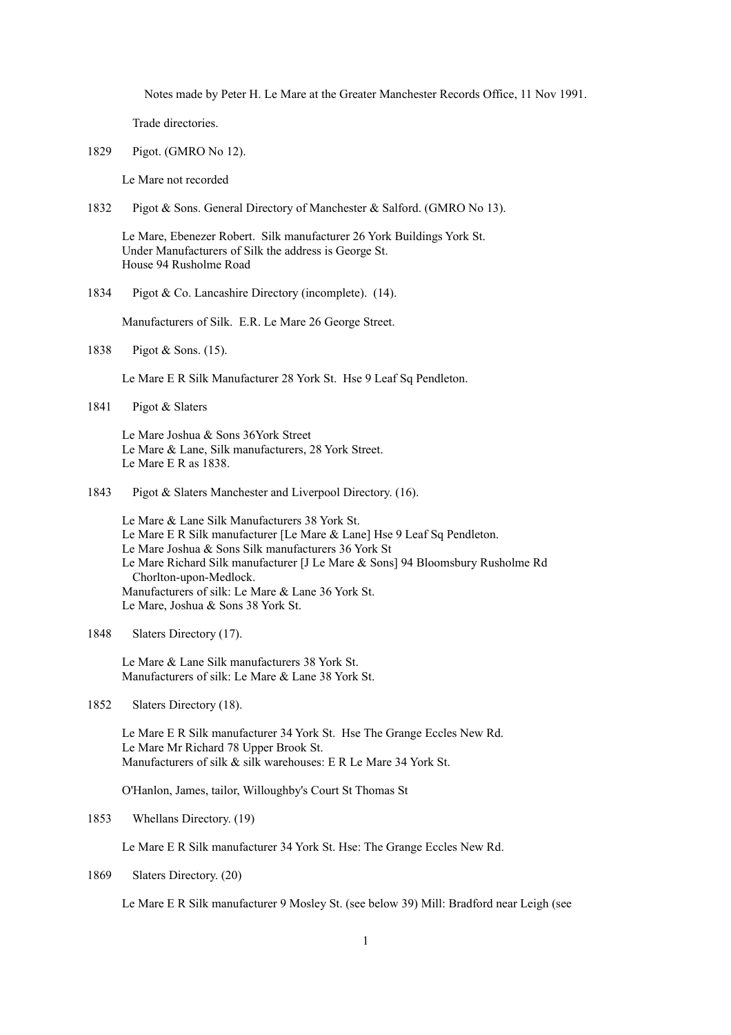Notes made by Peter H. Le Mare at the Greater Manchester Records Office, 11 Nov 1991.

Trade directories.

1829 Pigot. (GMRO No 12).

Le Mare not recorded

1832 Pigot & Sons. General Directory of Manchester & Salford. (GMRO No 13).

Le Mare, Ebenezer Robert. Silk manufacturer 26 York Buildings York St. Under Manufacturers of Silk the address is George St. House 94 Rusholme Road

1834 Pigot & Co. Lancashire Directory (incomplete). (14).

Manufacturers of Silk. E.R. Le Mare 26 George Street.

1838 Pigot & Sons. (15).

Le Mare E R Silk Manufacturer 28 York St. Hse 9 Leaf Sq Pendleton.

1841 Pigot & Slaters

Le Mare Joshua & Sons 36York Street Le Mare & Lane, Silk manufacturers, 28 York Street. Le Mare E R as 1838.

1843 Pigot & Slaters Manchester and Liverpool Directory. (16).

Le Mare & Lane Silk Manufacturers 38 York St. Le Mare E R Silk manufacturer [Le Mare & Lane] Hse 9 Leaf Sq Pendleton. Le Mare Joshua & Sons Silk manufacturers 36 York St Le Mare Richard Silk manufacturer [J Le Mare & Sons] 94 Bloomsbury Rusholme Rd Chorlton-upon-Medlock. Manufacturers of silk: Le Mare & Lane 36 York St. Le Mare, Joshua & Sons 38 York St.

Le Mare & Lane Silk manufacturers 38 York St. Manufacturers of silk: Le Mare & Lane 38 York St.

1852 Slaters Directory (18).

Le Mare E R Silk manufacturer 34 York St. Hse The Grange Eccles New Rd. Le Mare Mr Richard 78 Upper Brook St. Manufacturers of silk & silk warehouses: E R Le Mare 34 York St.

O'Hanlon, James, tailor, Willoughby's Court St Thomas St

1853 Whellans Directory. (19)

Le Mare E R Silk manufacturer 34 York St. Hse: The Grange Eccles New Rd.

1869 Slaters Directory. (20)

Le Mare E R Silk manufacturer 9 Mosley St. (see below 39) Mill: Bradford near Leigh (see

<sup>1848</sup> Slaters Directory (17).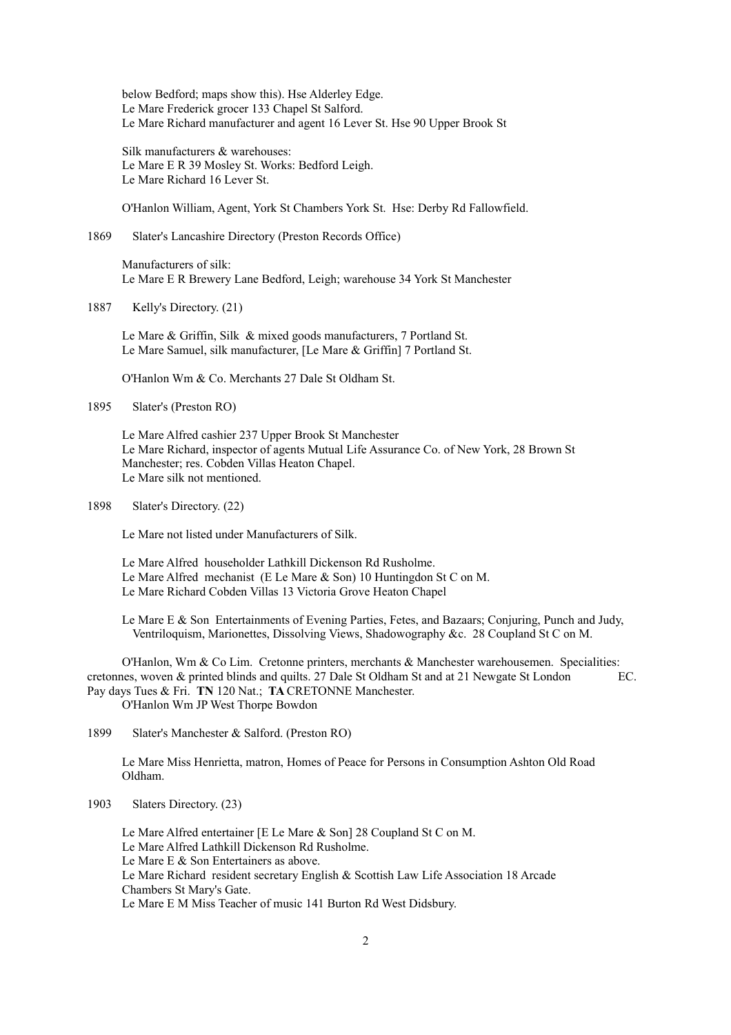below Bedford; maps show this). Hse Alderley Edge. Le Mare Frederick grocer 133 Chapel St Salford. Le Mare Richard manufacturer and agent 16 Lever St. Hse 90 Upper Brook St

Silk manufacturers & warehouses: Le Mare E R 39 Mosley St. Works: Bedford Leigh. Le Mare Richard 16 Lever St.

O'Hanlon William, Agent, York St Chambers York St. Hse: Derby Rd Fallowfield.

## 1869 Slater's Lancashire Directory (Preston Records Office)

Manufacturers of silk: Le Mare E R Brewery Lane Bedford, Leigh; warehouse 34 York St Manchester

## 1887 Kelly's Directory. (21)

Le Mare & Griffin, Silk & mixed goods manufacturers, 7 Portland St. Le Mare Samuel, silk manufacturer, [Le Mare & Griffin] 7 Portland St.

O'Hanlon Wm & Co. Merchants 27 Dale St Oldham St.

1895 Slater's (Preston RO)

Le Mare Alfred cashier 237 Upper Brook St Manchester Le Mare Richard, inspector of agents Mutual Life Assurance Co. of New York, 28 Brown St Manchester; res. Cobden Villas Heaton Chapel. Le Mare silk not mentioned.

1898 Slater's Directory. (22)

Le Mare not listed under Manufacturers of Silk.

Le Mare Alfred householder Lathkill Dickenson Rd Rusholme. Le Mare Alfred mechanist (E Le Mare & Son) 10 Huntingdon St C on M. Le Mare Richard Cobden Villas 13 Victoria Grove Heaton Chapel

Le Mare E & Son Entertainments of Evening Parties, Fetes, and Bazaars; Conjuring, Punch and Judy, Ventriloquism, Marionettes, Dissolving Views, Shadowography &c. 28 Coupland St C on M.

O'Hanlon, Wm & Co Lim. Cretonne printers, merchants & Manchester warehousemen. Specialities: cretonnes, woven & printed blinds and quilts. 27 Dale St Oldham St and at 21 Newgate St London EC. Pay days Tues & Fri. **TN** 120 Nat.; **TA** CRETONNE Manchester. O'Hanlon Wm JP West Thorpe Bowdon

1899 Slater's Manchester & Salford. (Preston RO)

Le Mare Miss Henrietta, matron, Homes of Peace for Persons in Consumption Ashton Old Road Oldham.

Le Mare Alfred entertainer [E Le Mare & Son] 28 Coupland St C on M. Le Mare Alfred Lathkill Dickenson Rd Rusholme. Le Mare E & Son Entertainers as above. Le Mare Richard resident secretary English & Scottish Law Life Association 18 Arcade Chambers St Mary's Gate. Le Mare E M Miss Teacher of music 141 Burton Rd West Didsbury.

<sup>1903</sup> Slaters Directory. (23)